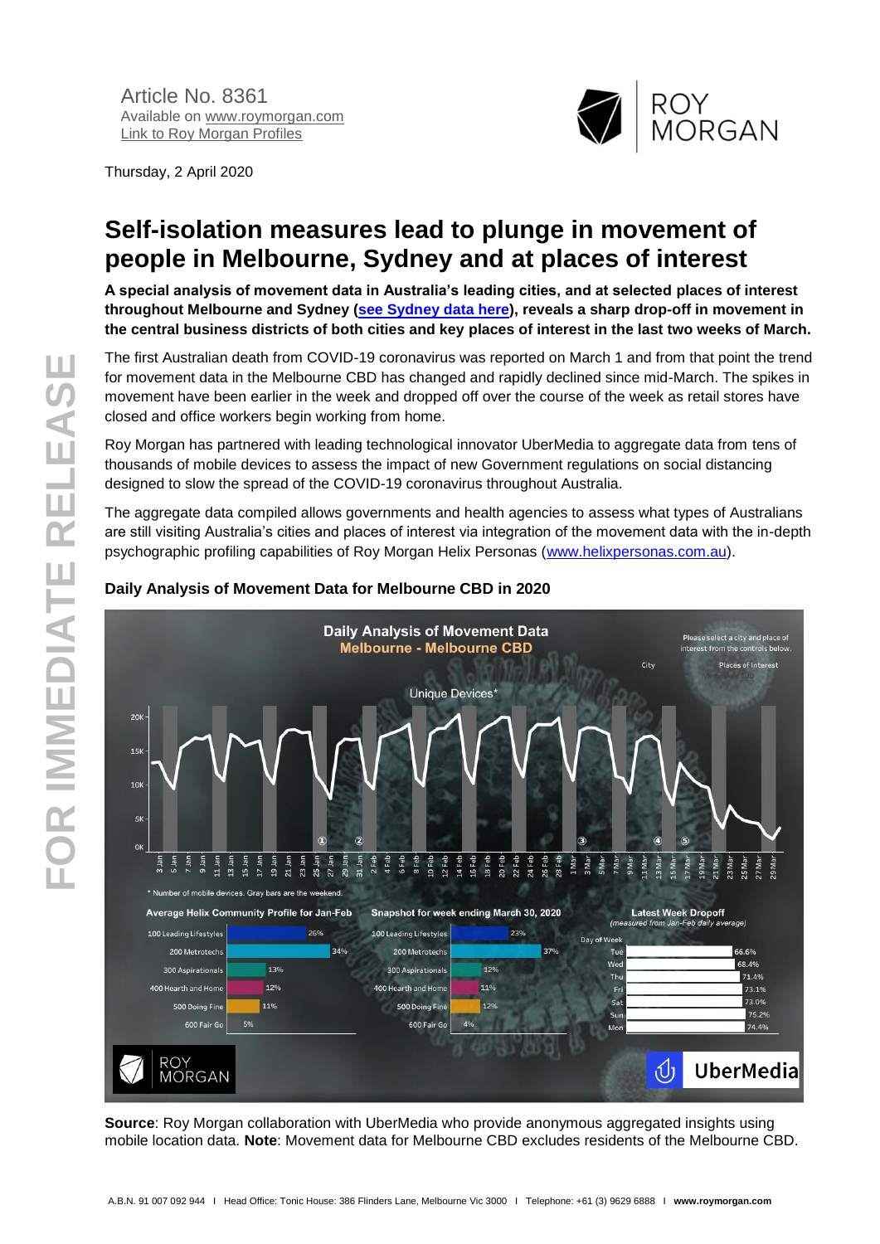Thursday, 2 April 2020



# **Self-isolation measures lead to plunge in movement of people in Melbourne, Sydney and at places of interest**

**A special analysis of movement data in Australia's leading cities, and at selected places of interest throughout Melbourne and Sydney [\(see Sydney data here\)](http://www.roymorgan.com/findings/8362-roy-morgan-ubermedia-covid-19-movement-sydney-april-2020-202004020117), reveals a sharp drop-off in movement in the central business districts of both cities and key places of interest in the last two weeks of March.**

The first Australian death from COVID-19 coronavirus was reported on March 1 and from that point the trend for movement data in the Melbourne CBD has changed and rapidly declined since mid-March. The spikes in movement have been earlier in the week and dropped off over the course of the week as retail stores have closed and office workers begin working from home.

Roy Morgan has partnered with leading technological innovator UberMedia to aggregate data from tens of thousands of mobile devices to assess the impact of new Government regulations on social distancing designed to slow the spread of the COVID-19 coronavirus throughout Australia.

The aggregate data compiled allows governments and health agencies to assess what types of Australians are still visiting Australia's cities and places of interest via integration of the movement data with the in-depth psychographic profiling capabilities of Roy Morgan Helix Personas [\(www.helixpersonas.com.au\)](http://www.helixpersonas.com.au/).



### **Daily Analysis of Movement Data for Melbourne CBD in 2020**

**Source**: Roy Morgan collaboration with UberMedia who provide anonymous aggregated insights using mobile location data. **Note**: Movement data for Melbourne CBD excludes residents of the Melbourne CBD.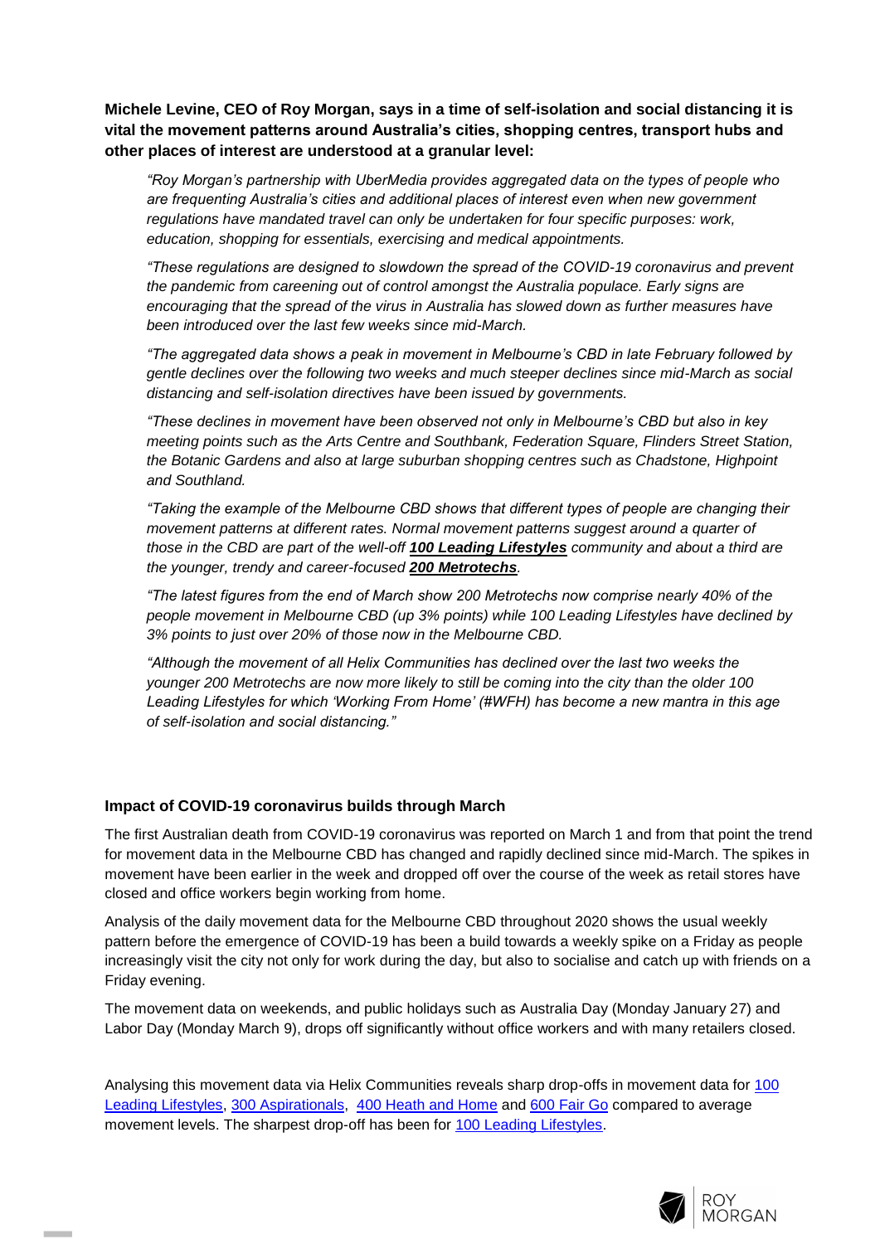**Michele Levine, CEO of Roy Morgan, says in a time of self-isolation and social distancing it is vital the movement patterns around Australia's cities, shopping centres, transport hubs and other places of interest are understood at a granular level:**

*"Roy Morgan's partnership with UberMedia provides aggregated data on the types of people who are frequenting Australia's cities and additional places of interest even when new government regulations have mandated travel can only be undertaken for four specific purposes: work, education, shopping for essentials, exercising and medical appointments.*

*"These regulations are designed to slowdown the spread of the COVID-19 coronavirus and prevent the pandemic from careening out of control amongst the Australia populace. Early signs are encouraging that the spread of the virus in Australia has slowed down as further measures have been introduced over the last few weeks since mid-March.*

*"The aggregated data shows a peak in movement in Melbourne's CBD in late February followed by gentle declines over the following two weeks and much steeper declines since mid-March as social distancing and self-isolation directives have been issued by governments.*

*"These declines in movement have been observed not only in Melbourne's CBD but also in key meeting points such as the Arts Centre and Southbank, Federation Square, Flinders Street Station, the Botanic Gardens and also at large suburban shopping centres such as Chadstone, Highpoint and Southland.*

*"Taking the example of the Melbourne CBD shows that different types of people are changing their movement patterns at different rates. Normal movement patterns suggest around a quarter of those in the CBD are part of the well-off 100 Leading Lifestyles community and about a third are the younger, trendy and career-focused 200 Metrotechs.*

*"The latest figures from the end of March show 200 Metrotechs now comprise nearly 40% of the people movement in Melbourne CBD (up 3% points) while 100 Leading Lifestyles have declined by 3% points to just over 20% of those now in the Melbourne CBD.*

*"Although the movement of all Helix Communities has declined over the last two weeks the younger 200 Metrotechs are now more likely to still be coming into the city than the older 100 Leading Lifestyles for which 'Working From Home' (#WFH) has become a new mantra in this age of self-isolation and social distancing."*

#### **Impact of COVID-19 coronavirus builds through March**

**I** 

The first Australian death from COVID-19 coronavirus was reported on March 1 and from that point the trend for movement data in the Melbourne CBD has changed and rapidly declined since mid-March. The spikes in movement have been earlier in the week and dropped off over the course of the week as retail stores have closed and office workers begin working from home.

Analysis of the daily movement data for the Melbourne CBD throughout 2020 shows the usual weekly pattern before the emergence of COVID-19 has been a build towards a weekly spike on a Friday as people increasingly visit the city not only for work during the day, but also to socialise and catch up with friends on a Friday evening.

The movement data on weekends, and public holidays such as Australia Day (Monday January 27) and Labor Day (Monday March 9), drops off significantly without office workers and with many retailers closed.

Analysing this movement data via Helix Communities reveals sharp drop-offs in movement data for [100](https://www.helixpersonas.com.au/100-leading-lifestyles)  [Leading Lifestyles,](https://www.helixpersonas.com.au/100-leading-lifestyles) [300 Aspirationals,](https://www.helixpersonas.com.au/300-aspirationals) [400 Heath and Home](https://www.helixpersonas.com.au/400-hearth-and-home) and [600 Fair Go](https://www.helixpersonas.com.au/600-fair-go) compared to average movement levels. The sharpest drop-off has been for [100 Leading Lifestyles.](https://www.helixpersonas.com.au/100-leading-lifestyles)

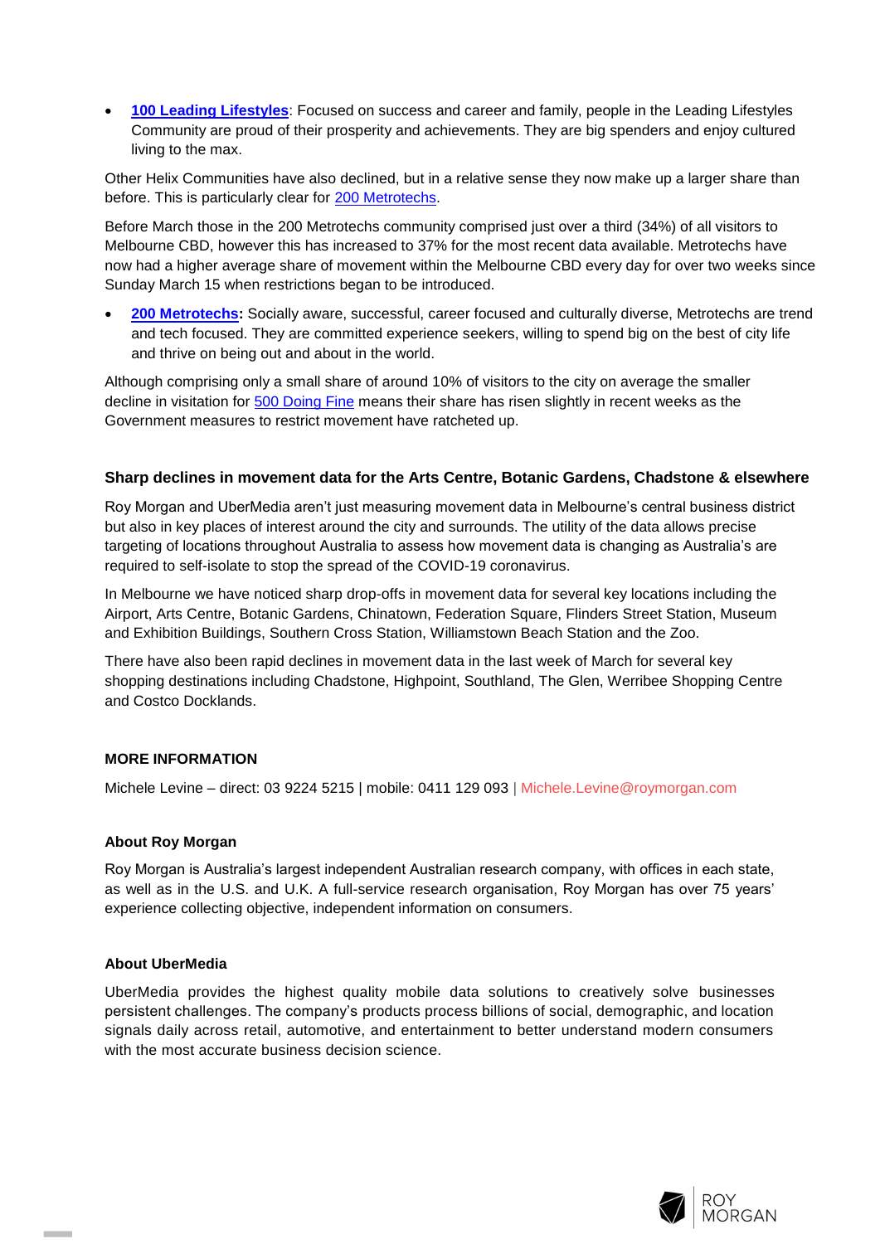**[100 Leading Lifestyles](https://www.helixpersonas.com.au/100-leading-lifestyles)**: Focused on success and career and family, people in the Leading Lifestyles Community are proud of their prosperity and achievements. They are big spenders and enjoy cultured living to the max.

Other Helix Communities have also declined, but in a relative sense they now make up a larger share than before. This is particularly clear for [200 Metrotechs.](https://www.helixpersonas.com.au/200-metrotechs)

Before March those in the 200 Metrotechs community comprised just over a third (34%) of all visitors to Melbourne CBD, however this has increased to 37% for the most recent data available. Metrotechs have now had a higher average share of movement within the Melbourne CBD every day for over two weeks since Sunday March 15 when restrictions began to be introduced.

[200 Metrotechs:](https://www.helixpersonas.com.au/200-metrotechs) Socially aware, successful, career focused and culturally diverse, Metrotechs are trend and tech focused. They are committed experience seekers, willing to spend big on the best of city life and thrive on being out and about in the world.

Although comprising only a small share of around 10% of visitors to the city on average the smaller decline in visitation for [500 Doing Fine](https://www.helixpersonas.com.au/500-doing-fine) means their share has risen slightly in recent weeks as the Government measures to restrict movement have ratcheted up.

#### **Sharp declines in movement data for the Arts Centre, Botanic Gardens, Chadstone & elsewhere**

Roy Morgan and UberMedia aren't just measuring movement data in Melbourne's central business district but also in key places of interest around the city and surrounds. The utility of the data allows precise targeting of locations throughout Australia to assess how movement data is changing as Australia's are required to self-isolate to stop the spread of the COVID-19 coronavirus.

In Melbourne we have noticed sharp drop-offs in movement data for several key locations including the Airport, Arts Centre, Botanic Gardens, Chinatown, Federation Square, Flinders Street Station, Museum and Exhibition Buildings, Southern Cross Station, Williamstown Beach Station and the Zoo.

There have also been rapid declines in movement data in the last week of March for several key shopping destinations including Chadstone, Highpoint, Southland, The Glen, Werribee Shopping Centre and Costco Docklands.

#### **MORE INFORMATION**

Michele Levine – direct: 03 9224 5215 | mobile: 0411 129 093 | [Michele.Levine@roymorgan.com](mailto:Michele.Levine@roymorgan.com)

#### **About Roy Morgan**

Roy Morgan is Australia's largest independent Australian research company, with offices in each state, as well as in the U.S. and U.K. A full-service research organisation, Roy Morgan has over 75 years' experience collecting objective, independent information on consumers.

#### **About UberMedia**

**I** 

UberMedia provides the highest quality mobile data solutions to creatively solve businesses persistent challenges. The company's products process billions of social, demographic, and location signals daily across retail, automotive, and entertainment to better understand modern consumers with the most accurate business decision science.